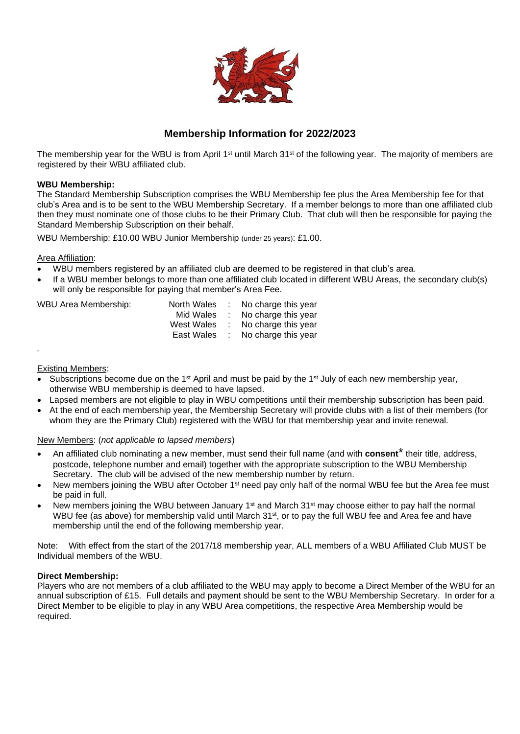

### **Membership Information for 2022/2023**

The membership year for the WBU is from April 1<sup>st</sup> until March 31<sup>st</sup> of the following year. The majority of members are registered by their WBU affiliated club.

#### **WBU Membership:**

The Standard Membership Subscription comprises the WBU Membership fee plus the Area Membership fee for that club's Area and is to be sent to the WBU Membership Secretary. If a member belongs to more than one affiliated club then they must nominate one of those clubs to be their Primary Club. That club will then be responsible for paying the Standard Membership Subscription on their behalf.

WBU Membership: £10.00 WBU Junior Membership (under 25 years): £1.00.

#### Area Affiliation:

- WBU members registered by an affiliated club are deemed to be registered in that club's area.
- If a WBU member belongs to more than one affiliated club located in different WBU Areas, the secondary club(s) will only be responsible for paying that member's Area Fee.

| WBU Area Membership: |  | North Wales : No charge this year |
|----------------------|--|-----------------------------------|
|                      |  | Mid Wales : No charge this year   |
|                      |  | West Wales : No charge this year  |
|                      |  | East Wales : No charge this vear  |

Existing Members:

*.*

- Subscriptions become due on the 1<sup>st</sup> April and must be paid by the 1<sup>st</sup> July of each new membership year, otherwise WBU membership is deemed to have lapsed.
- Lapsed members are not eligible to play in WBU competitions until their membership subscription has been paid.
- At the end of each membership year, the Membership Secretary will provide clubs with a list of their members (for whom they are the Primary Club) registered with the WBU for that membership year and invite renewal.

#### New Members: (*not applicable to lapsed members*)

- An affiliated club nominating a new member, must send their full name (and with **consent**\* their title, address, postcode, telephone number and email) together with the appropriate subscription to the WBU Membership Secretary. The club will be advised of the new membership number by return.
- New members joining the WBU after October  $1<sup>st</sup>$  need pay only half of the normal WBU fee but the Area fee must be paid in full.
- New members joining the WBU between January 1<sup>st</sup> and March  $31<sup>st</sup>$  may choose either to pay half the normal WBU fee (as above) for membership valid until March 31<sup>st</sup>, or to pay the full WBU fee and Area fee and have membership until the end of the following membership year.

Note: With effect from the start of the 2017/18 membership year, ALL members of a WBU Affiliated Club MUST be Individual members of the WBU.

#### **Direct Membership:**

Players who are not members of a club affiliated to the WBU may apply to become a Direct Member of the WBU for an annual subscription of £15. Full details and payment should be sent to the WBU Membership Secretary. In order for a Direct Member to be eligible to play in any WBU Area competitions, the respective Area Membership would be required.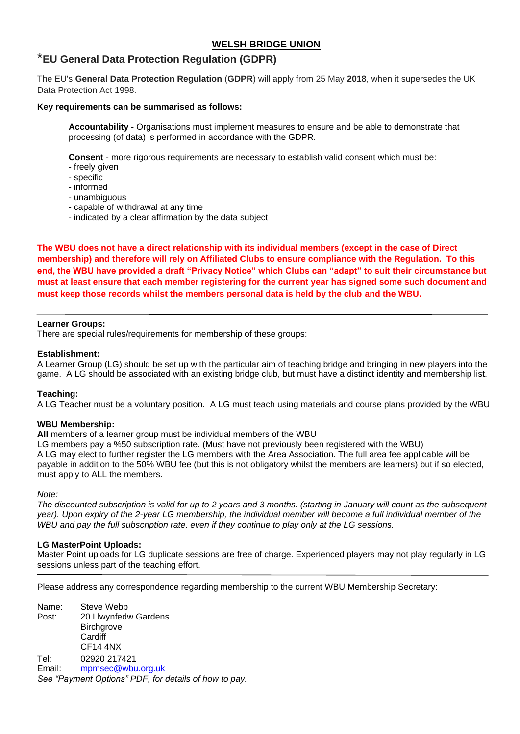### **WELSH BRIDGE UNION**

## \***EU General Data Protection Regulation (GDPR)**

The EU's **General Data Protection Regulation** (**GDPR**) will apply from 25 May **2018**, when it supersedes the UK Data Protection Act 1998.

#### **Key requirements can be summarised as follows:**

**Accountability** - Organisations must implement measures to ensure and be able to demonstrate that processing (of data) is performed in accordance with the GDPR.

**Consent** - more rigorous requirements are necessary to establish valid consent which must be:

- freely given
- specific
- informed
- unambiguous
- capable of withdrawal at any time
- indicated by a clear affirmation by the data subject

**The WBU does not have a direct relationship with its individual members (except in the case of Direct membership) and therefore will rely on Affiliated Clubs to ensure compliance with the Regulation. To this end, the WBU have provided a draft "Privacy Notice" which Clubs can "adapt" to suit their circumstance but must at least ensure that each member registering for the current year has signed some such document and must keep those records whilst the members personal data is held by the club and the WBU.**

#### **Learner Groups:**

There are special rules/requirements for membership of these groups:

#### **Establishment:**

A Learner Group (LG) should be set up with the particular aim of teaching bridge and bringing in new players into the game. A LG should be associated with an existing bridge club, but must have a distinct identity and membership list.

#### **Teaching:**

A LG Teacher must be a voluntary position. A LG must teach using materials and course plans provided by the WBU

#### **WBU Membership:**

**All** members of a learner group must be individual members of the WBU

LG members pay a %50 subscription rate. (Must have not previously been registered with the WBU) A LG may elect to further register the LG members with the Area Association. The full area fee applicable will be payable in addition to the 50% WBU fee (but this is not obligatory whilst the members are learners) but if so elected, must apply to ALL the members.

*Note:*

*The discounted subscription is valid for up to 2 years and 3 months. (starting in January will count as the subsequent year). Upon expiry of the 2-year LG membership, the individual member will become a full individual member of the WBU and pay the full subscription rate, even if they continue to play only at the LG sessions.*

#### **LG MasterPoint Uploads:**

Master Point uploads for LG duplicate sessions are free of charge. Experienced players may not play regularly in LG sessions unless part of the teaching effort.

Please address any correspondence regarding membership to the current WBU Membership Secretary:

Name: Steve Webb Post: 20 Llwynfedw Gardens **Bircharove** Cardiff CF14 4NX Tel: 02920 217421 Email: [mpmsec@wbu.org.uk](mailto:mpmsec@wbu.org.uk)  *See "Payment Options" PDF, for details of how to pay.*